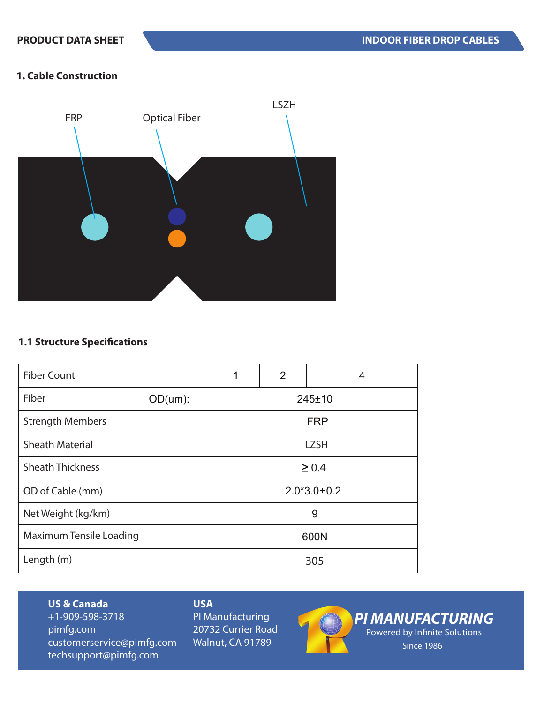## **1. Cable Construction**



## **1.1 Structure Specifications**

| <b>Fiber Count</b>             |          | 2<br>1<br>4       |  |  |
|--------------------------------|----------|-------------------|--|--|
| Fiber                          | OD(num): | 245±10            |  |  |
| <b>Strength Members</b>        |          | <b>FRP</b>        |  |  |
| <b>Sheath Material</b>         |          | <b>LZSH</b>       |  |  |
| <b>Sheath Thickness</b>        |          | $\geq 0.4$        |  |  |
| OD of Cable (mm)               |          | $2.0*3.0 \pm 0.2$ |  |  |
| Net Weight (kg/km)             |          | 9                 |  |  |
| <b>Maximum Tensile Loading</b> |          | 600N              |  |  |
| Length (m)                     |          | 305               |  |  |

### **US & Canada**

+1-909-598-3718 pimfg.com customerservice@pimfg.com techsupport@pimfg.com

# **USA**

PI Manufacturing 20732 Currier Road Walnut, CA 91789



*PI MANUFACTURING* Powered by Infinite Solutions Since 1986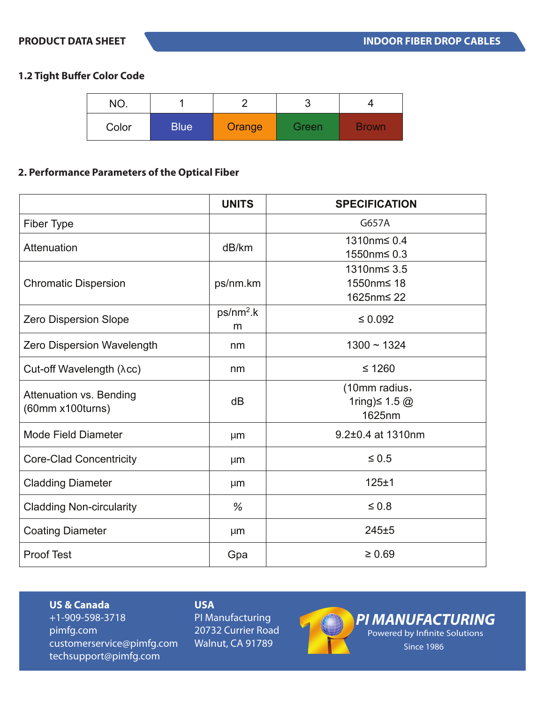## **1.2 Tight Buffer Color Code**

| NO.   |             |        | ບ     |              |
|-------|-------------|--------|-------|--------------|
| Color | <b>Blue</b> | Orange | Green | <b>Brown</b> |

## **2. Performance Parameters of the Optical Fiber**

|                                                    | <b>UNITS</b>     | <b>SPECIFICATION</b>                           |
|----------------------------------------------------|------------------|------------------------------------------------|
| Fiber Type                                         |                  | G657A                                          |
| Attenuation                                        | dB/km            | 1310nm≤ 0.4<br>1550nm≤ 0.3                     |
| <b>Chromatic Dispersion</b>                        | ps/nm.km         | 1310nm≤ 3.5<br>1550nm≤ 18<br>1625nm≤ 22        |
| <b>Zero Dispersion Slope</b>                       | $ps/nm2$ .k<br>m | $\leq 0.092$                                   |
| Zero Dispersion Wavelength                         | nm               | $1300 - 1324$                                  |
| Cut-off Wavelength (λcc)                           | nm               | $≤ 1260$                                       |
| <b>Attenuation vs. Bending</b><br>(60mm x100turns) | dB               | (10mm radius,<br>1ring) $\leq 1.5$ @<br>1625nm |
| <b>Mode Field Diameter</b>                         | µm               | 9.2±0.4 at 1310nm                              |
| <b>Core-Clad Concentricity</b>                     | µm               | $\leq 0.5$                                     |
| <b>Cladding Diameter</b>                           | µm               | 125±1                                          |
| <b>Cladding Non-circularity</b>                    | %                | $\leq 0.8$                                     |
| <b>Coating Diameter</b>                            | µm               | 245±5                                          |
| <b>Proof Test</b>                                  | Gpa              | $\geq 0.69$                                    |

### **US & Canada**

+1-909-598-3718 pimfg.com customerservice@pimfg.com techsupport@pimfg.com

## **USA**

PI Manufacturing 20732 Currier Road Walnut, CA 91789



*PI MANUFACTURING* Powered by Infinite Solutions Since 1986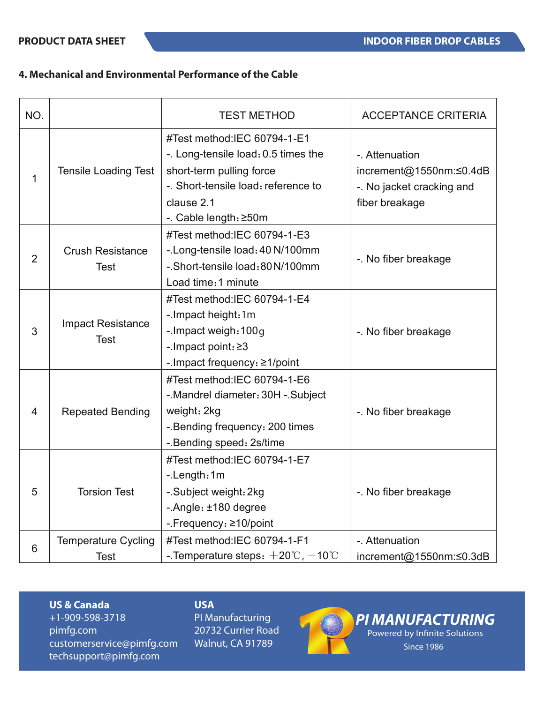## **4. Mechanical and Environmental Performance of the Cable**

| NO.            |                                           | <b>TEST METHOD</b>                                                                                                                                                           | <b>ACCEPTANCE CRITERIA</b>                                                               |
|----------------|-------------------------------------------|------------------------------------------------------------------------------------------------------------------------------------------------------------------------------|------------------------------------------------------------------------------------------|
| 1              | <b>Tensile Loading Test</b>               | #Test method:IEC 60794-1-E1<br>-. Long-tensile load: 0.5 times the<br>short-term pulling force<br>-. Short-tensile load: reference to<br>clause 2.1<br>-. Cable length: ≥50m | -. Attenuation<br>increment@1550nm:≤0.4dB<br>-. No jacket cracking and<br>fiber breakage |
| $\overline{2}$ | <b>Crush Resistance</b><br><b>Test</b>    | #Test method:IEC 60794-1-E3<br>-. Long-tensile load: 40 N/100mm<br>-. Short-tensile load: 80 N/100mm<br>Load time: 1 minute                                                  | -. No fiber breakage                                                                     |
| 3              | <b>Impact Resistance</b><br><b>Test</b>   | #Test method:IEC 60794-1-E4<br>-. Impact height: 1m<br>-. Impact weigh: 100g<br>-. Impact point: ≥3<br>-. Impact frequency: $\geq 1$ /point                                  | -. No fiber breakage                                                                     |
| $\overline{4}$ | <b>Repeated Bending</b>                   | #Test method:IEC 60794-1-E6<br>-. Mandrel diameter: 30H -. Subject<br>weight: 2kg<br>-. Bending frequency: 200 times<br>-. Bending speed: 2s/time                            | -. No fiber breakage                                                                     |
| 5              | <b>Torsion Test</b>                       | #Test method:IEC 60794-1-E7<br>-.Length:1m<br>-. Subject weight: 2kg<br>-. Angle: ±180 degree<br>-.Frequency: ≥10/point                                                      | -. No fiber breakage                                                                     |
| 6              | <b>Temperature Cycling</b><br><b>Test</b> | #Test method:IEC 60794-1-F1<br>-. Temperature steps: $+20^{\circ}$ C, $-10^{\circ}$ C                                                                                        | - Attenuation<br>increment@1550nm:≤0.3dB                                                 |

#### **US & Canada**

+1-909-598-3718 pimfg.com customerservice@pimfg.com techsupport@pimfg.com

## **USA**

PI Manufacturing 20732 Currier Road Walnut, CA 91789



*PI MANUFACTURING* Powered by Infinite Solutions

Since 1986